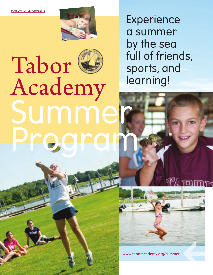

## Tabor G Academy summe Program

Experience a summer by the sea full of friends, sports, and learning!



www.taboracademy.org/summer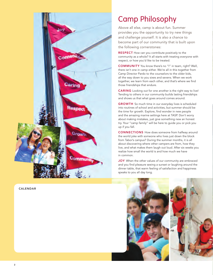

calendar

## Camp Philosophy

Above all else, camp is about fun. Summer provides you the opportunity to try new things and challenge yourself. It is also a chance to become part of our community that is built upon the following cornerstones:

**RESPECT** How can you contribute positively to the community as a whole? It all starts with treating everyone with respect, or how you'd like to be treated.

**COMMUNITY** You know there's no "I" in team, right? Well, there isn't one in camp either. We're all in this together from Camp Director Pardo to the counselors to the older kids, all the way down to you sixes and sevens. When we work together, we learn from each other, and that's where we find those friendships that endure.

**CARING** Looking out for one another is the right way to live! Tending to others in our community builds lasting friendships and shows us that what goes around comes around.

**GROWTH** So much time in our everyday lives is scheduled into routines of school and activities, but summer should be the time for growth. Explore, find wonder in new people and the amazing marine settings here at TASP. Don't worry about making mistakes, just give something new an honest try. Your "camp family" will be here to guide you or pick you up if you fall.

**CONNECTIONS** How does someone from halfway around the world joke with someone who lives just down the block from Tabor's campus? During the summer months, it is all about discovering where other campers are from, how they live, and what makes them laugh out loud. After six weeks you realize how small the world is and how much we have in common.

JOY When the other values of our community are embraced and you find pleasure seeing a sunset or laughing around the dinner table, that warm feeling of satisfaction and happiness speaks to you all day long.

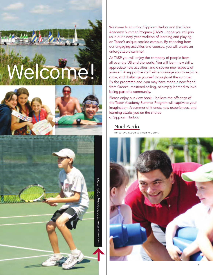







Welcome to stunning Sippican Harbor and the Tabor Academy Summer Program (TASP). I hope you will join us in our ninety-year tradition of learning and playing on Tabor's unique seaside campus. By choosing from our engaging activities and courses, you will create an unforgettable summer.

At TASP you will enjoy the company of people from all over the US and the world. You will learn new skills, appreciate new activities, and discover new aspects of yourself. A supportive staff will encourage you to explore, grow, and challenge yourself throughout the summer. By the program's end, you may have made a new friend from Greece, mastered sailing, or simply learned to love being part of a community.

Please enjoy our view book; I believe the offerings of the Tabor Academy Summer Program will captivate your imagination. A summer of friends, new experiences, and learning awaits you on the shores of Sippican Harbor.

## Noel Pardo

director, tabor summer program

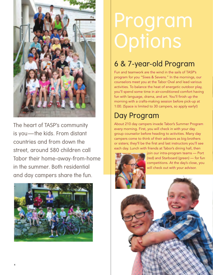

The heart of TASP's community is you-the kids. From distant countries and from down the street, around 580 children call Tabor their home-away-from-home in the summer. Both residential and day campers share the fun.



# Program

## 6 & 7-year-old Program

Fun and teamwork are the wind in the sails of TASP's program for you "Sixes & Sevens." In the mornings, our counselors meet you at the Tabor Oval and lead various activities. To balance the heat of energetic outdoor play, you'll spend some time in air-conditioned comfort having fun with language, drama, and art. You'll finish up the morning with a crafts-making session before pick-up at 1:00. (Space is limited to 30 campers, so apply early!)

## Day Program

About 210 day campers invade Tabor's Summer Program every morning. First, you will check in with your day group counselor before heading to activities. Many day campers come to think of their advisors as big brothers or sisters; they'll be the first and last instructors you'll see each day. Lunch with friends at Tabor's dining hall, then



join our intra-program teams — Port (red) and Starboard (green) — for fun competitions. At the day's close, you will check out with your advisor.

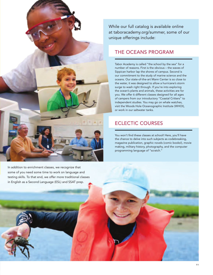

While our full catalog is available online at taboracademy.org/summer, some of our unique offerings include:

### THE OCEANS PROGRAM

Tabor Academy is called "the school by the sea" for a number of reasons. First is the obvious – the waves of Sippican harbor lap the shores of campus. Second is our commitment to the study of marine science and the oceans. Our state-of-the-art Mann Center is so close to the water, it was designed to allow a hurricane's storm surge to wash right through. If you're into exploring the ocean's plants and animals, these activities are for you. We offer 6 different classes designed for all ages of campers from our introductory "Coastal Critters" to independent studies. You may go on whale watches, visit the Woods Hole Oceanographic Institute (WHOI), or work in our saltwater tanks.

## Eclectic Courses

You won't find these classes at school! Here, you'll have the chance to delve into such subjects as codebreaking, magazine publication, graphic novels (comic books!), movie making, military history, photography, and the computer programming language of "scratch."

In addition to enrichment classes, we recognize that some of you need some time to work on language and testing skills. To that end, we offer more traditional classes in English as a Second Language (ESL) and SSAT prep.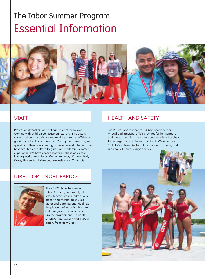## The Tabor Summer Program Essential Information



#### **STAFF**

Professional teachers and college students who love working with children comprise our staff. All instructors undergo thorough training and work hard to make Tabor a great home for July and August. During the off-season, we spend countless hours visiting universities and interview the best possible candidates to guide your children's summer experience. We have chosen staff from these and other leading institutions: Bates, Colby, Amherst, Williams, Holy Cross, University of Vermont, Wellesley, and Columbia.

health and safety

TASP uses Tabor's modern, 14-bed health center. A local pediatricians' office provides further support, and the surrounding area offers two excellent hospitals for emergency care: Tobey Hospital in Wareham and St. Luke's in New Bedford. Our wonderful nursing staff is on call 24 hours, 7 days a week.





Since 1995, Noel has served Tabor Academy in a variety of roles: teacher, coach, admissions officer, and technologist. As a father and dorm parent, Noel has the pleasure of watching his three children grow up in a rich and diverse environment. He holds an MBA from Babson and a BA in history from Holy Cross.

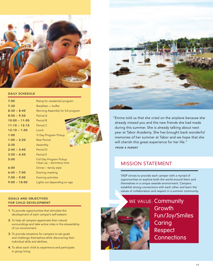

#### DAILY SCHEDULE

| 7:00            | Rising for residential program                              |
|-----------------|-------------------------------------------------------------|
| 7:30            | Breakfast - buffet                                          |
| $8:30 - 8:40$   | Morning Assembly for full program                           |
| $8:50 - 9:50$   | Period A                                                    |
| $10:00 - 11:00$ | Period B                                                    |
| $11:10 - 12:10$ | Period C                                                    |
| $12:10 - 1:00$  | Lunch                                                       |
| 1:00            | 1/2 Day Program Pickup                                      |
| $1:00 - 2:20$   | <b>Rest Period</b>                                          |
| 2:20            | Assembly                                                    |
| $2:40 - 3:40$   | Period D                                                    |
| $3:50 - 4:50$   | Period F                                                    |
| 5:00            | <b>Full Day Program Pickup</b><br>Clean up - dormitory time |
| 6:00            | Dinner - family style                                       |
| $6:45 - 7:00$   | Evening meeting                                             |
| $7:00 - 9:00$   | Evening activities                                          |
| $9:00 - 10:00$  | Lights out depending on age                                 |

#### Goals and Objectives for child development

- 1. To provide opportunities that stimulate the development of each camper's self-esteem.
- 2. To help all campers appreciate their natural surroundings and take active roles in the stewardship of our environment.
- 3. To provide situations for campers to set goals and challenge themselves while discovering their individual skills and abilities.
- 4. To allow each child to experience and participate in group living.



" Emma told us that she cried on the airplane because she already missed you and the new friends she had made during this summer. She is already talking about next year at Tabor Academy. She has brought back wonderful memories of her summer at Tabor and we hope that she will cherish this great experience for her life." from a Parent

#### mission statement

TASP strives to provide each camper with a myriad of opportunities to explore both the world around them and themselves in a unique seaside environment. Campers establish strong connections with each other and learn the values of collaboration and respect in a summer community.



Growth Fun/Joy/Smiles **Caring** Respect **Connections**